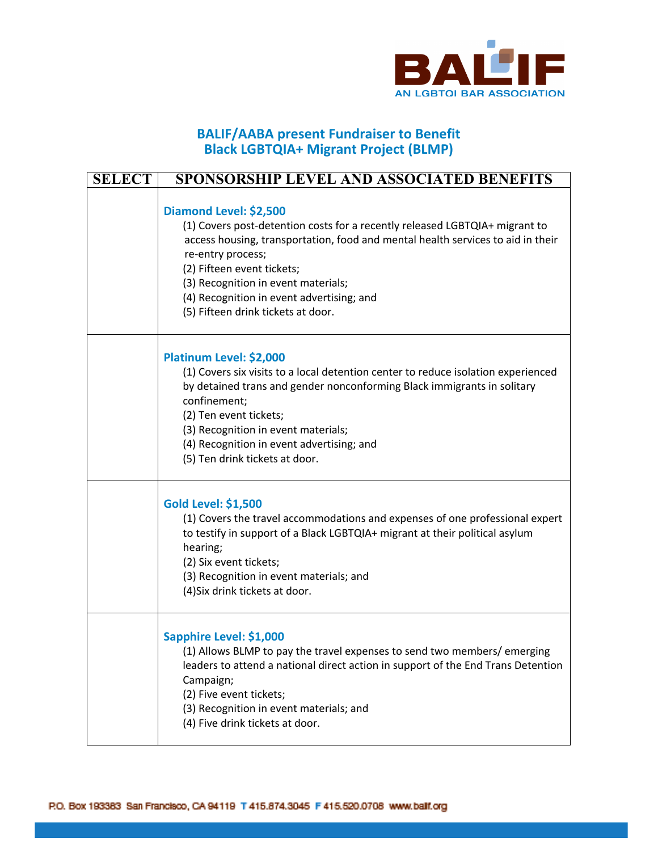

## **BALIF/AABA present Fundraiser to Benefit Black LGBTQIA+ Migrant Project (BLMP)**

| <b>SELECT</b> | SPONSORSHIP LEVEL AND ASSOCIATED BENEFITS                                                                                                                                                                                                                                                                                                                             |
|---------------|-----------------------------------------------------------------------------------------------------------------------------------------------------------------------------------------------------------------------------------------------------------------------------------------------------------------------------------------------------------------------|
|               | Diamond Level: \$2,500<br>(1) Covers post-detention costs for a recently released LGBTQIA+ migrant to<br>access housing, transportation, food and mental health services to aid in their<br>re-entry process;<br>(2) Fifteen event tickets;<br>(3) Recognition in event materials;<br>(4) Recognition in event advertising; and<br>(5) Fifteen drink tickets at door. |
|               | Platinum Level: \$2,000<br>(1) Covers six visits to a local detention center to reduce isolation experienced<br>by detained trans and gender nonconforming Black immigrants in solitary<br>confinement;<br>(2) Ten event tickets;<br>(3) Recognition in event materials;<br>(4) Recognition in event advertising; and<br>(5) Ten drink tickets at door.               |
|               | <b>Gold Level: \$1,500</b><br>(1) Covers the travel accommodations and expenses of one professional expert<br>to testify in support of a Black LGBTQIA+ migrant at their political asylum<br>hearing;<br>(2) Six event tickets;<br>(3) Recognition in event materials; and<br>(4) Six drink tickets at door.                                                          |
|               | Sapphire Level: \$1,000<br>(1) Allows BLMP to pay the travel expenses to send two members/ emerging<br>leaders to attend a national direct action in support of the End Trans Detention<br>Campaign;<br>(2) Five event tickets;<br>(3) Recognition in event materials; and<br>(4) Five drink tickets at door.                                                         |